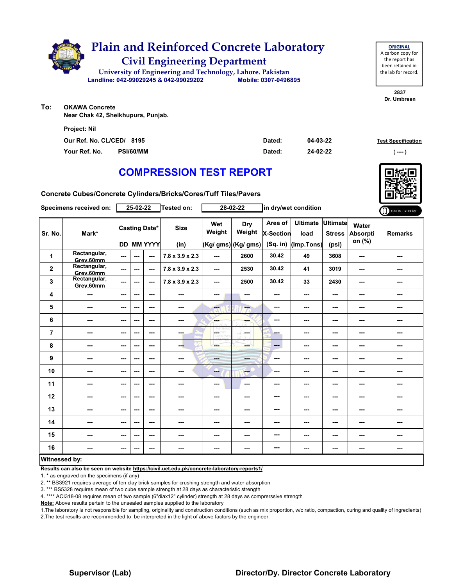

| <b>ORIGINAL</b>     |  |  |  |  |  |  |  |  |  |
|---------------------|--|--|--|--|--|--|--|--|--|
| A carbon copy for   |  |  |  |  |  |  |  |  |  |
| the report has      |  |  |  |  |  |  |  |  |  |
| been retained in    |  |  |  |  |  |  |  |  |  |
| the lab for record. |  |  |  |  |  |  |  |  |  |
|                     |  |  |  |  |  |  |  |  |  |

**2837 Dr. Umbreen**

**To: OKAWA Concrete Near Chak 42, Sheikhupura, Punjab.**

| <b>Project: Nil</b>       |                  |        |          |                           |
|---------------------------|------------------|--------|----------|---------------------------|
| Our Ref. No. CL/CED/ 8195 |                  | Dated: | 04-03-22 | <b>Test Specification</b> |
| Your Ref. No.             | <b>PSI/60/MM</b> | Dated: | 24-02-22 | <u>' ---- '</u>           |

# **COMPRESSION TEST REPORT**

**Concrete Cubes/Concrete Cylinders/Bricks/Cores/Tuff Tiles/Pavers**

|                         | Specimens received on:    |                | 25-02-22 |                                           | <b>Tested on:</b>           |                           | 28-02-22                              | in dry/wet condition                    |                                       |                                           |                                    | ONLINE REPORT  |
|-------------------------|---------------------------|----------------|----------|-------------------------------------------|-----------------------------|---------------------------|---------------------------------------|-----------------------------------------|---------------------------------------|-------------------------------------------|------------------------------------|----------------|
| Sr. No.                 | Mark*                     |                |          | <b>Casting Date*</b><br><b>DD MM YYYY</b> | <b>Size</b><br>(in)         | Wet<br>Weight             | Dry<br>Weight<br>$(Kg/gms)$ (Kg/ gms) | Area of<br><b>X-Section</b><br>(Sq. in) | <b>Ultimate</b><br>load<br>(Imp.Tons) | <b>Ultimate</b><br><b>Stress</b><br>(psi) | Water<br><b>Absorpti</b><br>on (%) | <b>Remarks</b> |
| 1                       | Rectangular,<br>Grev.60mm | $\overline{a}$ | ---      | ---                                       | $7.8 \times 3.9 \times 2.3$ | $\overline{\phantom{a}}$  | 2600                                  | 30.42                                   | 49                                    | 3608                                      | ---                                | ---            |
| $\overline{\mathbf{2}}$ | Rectangular,<br>Grev.60mm | $\sim$         | ---      | ---                                       | $7.8 \times 3.9 \times 2.3$ | $- - -$                   | 2530                                  | 30.42                                   | 41                                    | 3019                                      | ---                                | ---            |
| 3                       | Rectangular,<br>Grev.60mm | ---            | ---      | ---                                       | $7.8 \times 3.9 \times 2.3$ | ---                       | 2500                                  | 30.42                                   | 33                                    | 2430                                      | ---                                | ---            |
| 4                       | $\overline{\phantom{a}}$  | $\sim$ $\sim$  | ---      | $--$                                      | $\overline{\phantom{a}}$    | ---                       | ---                                   | ---                                     | ---                                   | $--$                                      | ---                                | ---            |
| 5                       | ---                       | ---            | ---      | ---                                       | $\overline{\phantom{a}}$    | $-1$                      | ---                                   | ---                                     | ---                                   | ---                                       | ---                                | ---            |
| 6                       | ---                       | $\sim$ $\sim$  | ---      | $- - -$                                   | $- - -$                     | ---                       |                                       | ---                                     | ---                                   | ---                                       | ---                                | ---            |
| $\overline{7}$          | $\overline{\phantom{a}}$  | $\sim$ $\sim$  | ---      | ---                                       | ena.                        | HÝ.<br>F.<br><b>CALCO</b> | -F.<br>in mar                         | ---                                     | ---                                   | ---                                       | ---                                | ---            |
| 8                       | ---                       | $--$           | ---      | $--$                                      | ---                         | ---                       | ---                                   | ---                                     | ---                                   | ---                                       | ---                                | ---            |
| 9                       | ---                       | $\sim$ $\sim$  | ---      | $--$                                      | ---                         | men.                      | ---                                   | ---                                     | ---                                   | ---                                       | ---                                | ---            |
| 10                      | $\sim$ $\sim$             | ---            | ---      | $- - -$                                   | ---                         | ---                       | $-1$                                  | ---                                     | ---                                   | ---                                       | ---                                | ---            |
| 11                      | ---                       | ---            | ---      | ---                                       | ---                         | ---                       | $\sim$                                | ---                                     | ---                                   | ---                                       | ---                                | ---            |
| 12                      | ---                       | $--$           | ---      | $--$                                      | $\overline{\phantom{a}}$    | ---                       | ---                                   | ---                                     | ---                                   | ---                                       | ---                                | ---            |
| 13                      | ---                       | $--$           | ---      | $--$                                      | ---                         | ---                       | ---                                   | ---                                     | ---                                   | ---                                       | ---                                | ---            |
| 14                      | ---                       | $\sim$ $\sim$  | $--$     | $- - -$                                   | ---                         | ---                       | ---                                   | ---                                     | ---                                   | ---                                       | ---                                | ---            |
| 15                      | ---                       | ---            | ---      | ---                                       | $\cdots$                    | ---                       | ---                                   | ---                                     | ---                                   | $--$                                      | ---                                | ---            |
| 16                      | ---                       | ---            | ---      | ---                                       | ---                         | ---                       | ---                                   | ---                                     | ---                                   | ---                                       | ---                                | ---            |
| Witnessed by:           |                           |                |          |                                           |                             |                           |                                       |                                         |                                       |                                           |                                    |                |

#### **Witnessed by:**

**Results can also be seen on website https://civil.uet.edu.pk/concrete-laboratory-reports1/**

1. \* as engraved on the specimens (if any)

2. \*\* BS3921 requires average of ten clay brick samples for crushing strength and water absorption

3. \*\*\* BS5328 requires mean of two cube sample strength at 28 days as characteristic strength

4. \*\*\*\* ACI318-08 requires mean of two sample (6"diax12" cylinder) strength at 28 days as comprerssive strength

**Note:** Above results pertain to the unsealed samples supplied to the laboratory



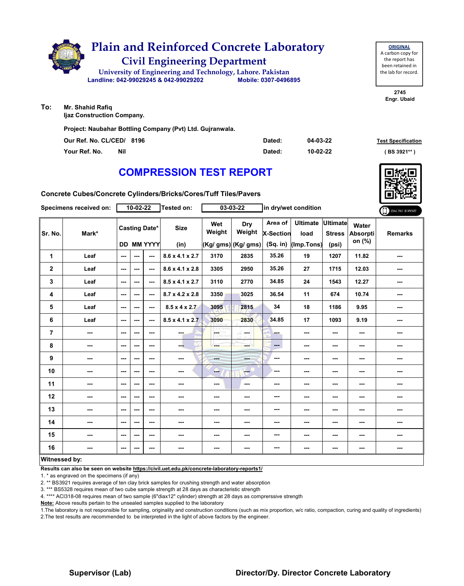

**To: Mr. Shahid Rafiq**

**Ijaz Construction Company.**

**Project: Naubahar Bottling Company (Pvt) Ltd. Gujranwala.**

| Our Ref. No. CL/CED/ 8196 | Dated: | 04-03-22 | <b>Test Specification</b> |
|---------------------------|--------|----------|---------------------------|
| Your Ref. No.<br>Nil      | Dated: | 10-02-22 | $(BS 3921**)$             |

# **COMPRESSION TEST REPORT**

**Concrete Cubes/Concrete Cylinders/Bricks/Cores/Tuff Tiles/Pavers**

|               | Specimens received on: |                                           | 10-02-22 |         | Tested on:                  |                          | 03-03-22                              | in dry/wet condition                      |                                       |                                           |                             | ONLINE REPORT  |
|---------------|------------------------|-------------------------------------------|----------|---------|-----------------------------|--------------------------|---------------------------------------|-------------------------------------------|---------------------------------------|-------------------------------------------|-----------------------------|----------------|
| Sr. No.       | Mark*                  | <b>Casting Date*</b><br><b>DD MM YYYY</b> |          |         | <b>Size</b><br>(in)         | Wet<br>Weight            | Dry<br>Weight<br>$(Kg/gms)$ (Kg/ gms) | Area of<br><b>X-Section</b><br>$(Sq.$ in) | <b>Ultimate</b><br>load<br>(Imp.Tons) | <b>Ultimate</b><br><b>Stress</b><br>(psi) | Water<br>Absorpti<br>on (%) | <b>Remarks</b> |
| 1             | Leaf                   | ---                                       | ---      | ---     | $8.6 \times 4.1 \times 2.7$ | 3170                     | 2835                                  | 35.26                                     | 19                                    | 1207                                      | 11.82                       | ---            |
| $\mathbf 2$   | Leaf                   | ---                                       | ---      | ---     | $8.6 \times 4.1 \times 2.8$ | 3305                     | 2950                                  | 35.26                                     | 27                                    | 1715                                      | 12.03                       | ---            |
| 3             | Leaf                   | ---                                       | ---      | $- - -$ | $8.5 \times 4.1 \times 2.7$ | 3110                     | 2770                                  | 34.85                                     | 24                                    | 1543                                      | 12.27                       | ---            |
| 4             | Leaf                   | ---                                       | ---      | ---     | $8.7 \times 4.2 \times 2.8$ | 3350                     | 3025                                  | 36.54                                     | 11                                    | 674                                       | 10.74                       | ---            |
| 5             | Leaf                   | ---                                       | ---      | ---     | $8.5 \times 4 \times 2.7$   | 3095                     | 2815                                  | 34                                        | 18                                    | 1186                                      | 9.95                        | ---            |
| 6             | Leaf                   | $--$                                      | ---      | $--$    | $8.5 \times 4.1 \times 2.7$ | 3090                     | 2830                                  | 34.85                                     | 17                                    | 1093                                      | 9.19                        | ---            |
| 7             | ---                    | ---                                       | ---      | ---     | ---                         | <b>LOETHY</b><br>LORD WH | SS.<br>and a                          | ---                                       | ---                                   | ---                                       | ---                         | ---            |
| 8             | ---                    | $--$                                      | ---      | $--$    | --                          | ---                      | ---                                   | ---                                       | ---                                   | $--$                                      | ---                         | ---            |
| 9             | ---                    | ---                                       | ---      | ---     | $\cdots$                    | ---                      |                                       | ---                                       | ---                                   | ---                                       | ---                         | ---            |
| 10            | ---                    | ---                                       | ---      | ---     | ---                         | ---                      | $\frac{1}{2}$                         | ---                                       | ---                                   | ---                                       | ---                         | ---            |
| 11            | ---                    | $--$                                      | ---      | ---     | $\cdots$                    | ---                      | $\sim$                                | ---                                       | ---                                   | $--$                                      | ---                         | ---            |
| 12            | ---                    | ---                                       | ---      | ---     | ---                         | ---                      | ---                                   | ---                                       | ---                                   | ---                                       | ---                         | ---            |
| 13            | ---                    | ---                                       | ---      | ---     | ---                         | ---                      |                                       | ---                                       | ---                                   | ---                                       | ---                         | ---            |
| 14            | ---                    | ---                                       | ---      | $- - -$ | ---                         | ---                      | ---                                   | ---                                       | ---                                   | ---                                       | ---                         | ---            |
| 15            | ---                    | $--$                                      | ---      | ---     | ---                         | ---                      | ---                                   | ---                                       | ---                                   | ---                                       | ---                         | ---            |
| 16            | ---                    | $--$                                      | ---      | $--$    | $\cdots$                    | ---                      | ---                                   | ---                                       | ---                                   | ---                                       | ---                         | ---            |
| Witnessed by: |                        |                                           |          |         |                             |                          |                                       |                                           |                                       |                                           |                             |                |

#### **Witnessed by:**

**Results can also be seen on website https://civil.uet.edu.pk/concrete-laboratory-reports1/**

1. \* as engraved on the specimens (if any)

2. \*\* BS3921 requires average of ten clay brick samples for crushing strength and water absorption

3. \*\*\* BS5328 requires mean of two cube sample strength at 28 days as characteristic strength

4. \*\*\*\* ACI318-08 requires mean of two sample (6"diax12" cylinder) strength at 28 days as comprerssive strength

**Note:** Above results pertain to the unsealed samples supplied to the laboratory

1.The laboratory is not responsible for sampling, originality and construction conditions (such as mix proportion, w/c ratio, compaction, curing and quality of ingredients) 2.The test results are recommended to be interpreted in the light of above factors by the engineer.

### **Supervisor (Lab) Director/Dy. Director Concrete Laboratory**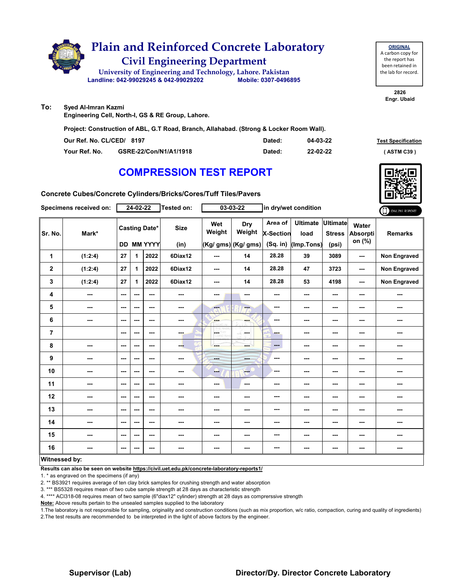

**2826 Engr. Ubaid**

**To: Syed Al-Imran Kazmi**

**Engineering Cell, North-I, GS & RE Group, Lahore.**

**Project: Construction of ABL, G.T Road, Branch, Allahabad. (Strong & Locker Room Wall).**

| Our Ref. No. CL/CED/ 8197 |                        | Dated: | 04-03-22 | <b>Test Specificati</b> |
|---------------------------|------------------------|--------|----------|-------------------------|
| Your Ref. No.             | GSRE-22/Con/N1/A1/1918 | Dated: | 22-02-22 | (ASTM C39)              |

## **COMPRESSION TEST REPORT**



**Test Specification** 

**Concrete Cubes/Concrete Cylinders/Bricks/Cores/Tuff Tiles/Pavers**

|                | Specimens received on:   |                                           | $24 - 02 - 22$ |               | Tested on:          |                                           | $03 - 03 - 22$                        | in dry/wet condition                      |                                       |                                    |                             | ONLINE REPORT       |
|----------------|--------------------------|-------------------------------------------|----------------|---------------|---------------------|-------------------------------------------|---------------------------------------|-------------------------------------------|---------------------------------------|------------------------------------|-----------------------------|---------------------|
| Sr. No.        | Mark*                    | <b>Casting Date*</b><br><b>DD MM YYYY</b> |                |               | <b>Size</b><br>(in) | Wet<br>Weight                             | Dry<br>Weight<br>$(Kg/gms)$ (Kg/ gms) | Area of<br><b>X-Section</b><br>$(Sq.$ in) | <b>Ultimate</b><br>load<br>(Imp.Tons) | Ultimate<br><b>Stress</b><br>(psi) | Water<br>Absorpti<br>on (%) | <b>Remarks</b>      |
| 1              | (1:2:4)                  | 27                                        | 1.             | 2022          | 6Diax12             | ---                                       | 14                                    | 28.28                                     | 39                                    | 3089                               | $\sim$                      | <b>Non Engraved</b> |
| $\mathbf{2}$   | (1:2:4)                  | 27                                        | 1              | 2022          | 6Diax12             | $\sim$ $\sim$                             | 14                                    | 28.28                                     | 47                                    | 3723                               | $\sim$ $\sim$               | <b>Non Engraved</b> |
| 3              | (1:2:4)                  | 27                                        | 1              | 2022          | 6Diax12             | $\sim$                                    | 14                                    | 28.28                                     | 53                                    | 4198                               | $\sim$ $\sim$               | <b>Non Engraved</b> |
| 4              | ---                      | ---                                       | ---            | ---           | ---                 | ---                                       | ---                                   | ---                                       | ---                                   | ---                                | ---                         |                     |
| 5              | $\overline{\phantom{a}}$ | $\sim$ $\sim$                             | ---            | ---           | ---                 | $\overline{\mathbf{a}}$                   | ---                                   | $\overline{\phantom{a}}$                  | ---                                   | ---                                | ---                         |                     |
| $\bf 6$        | ---                      | ---                                       | ---            | ---           | ---                 | <b>SHOP</b>                               | ---                                   | $\cdots$                                  | ---                                   | ---                                | ---                         | ---                 |
| $\overline{7}$ |                          | $\sim$ $\sim$                             | ---            | $\sim$ $\sim$ | ---                 | $\left\langle \cdot \right\rangle$<br>HY. | <b>Security</b>                       | - -                                       | $- - -$                               | ---                                | ---                         | ---                 |
| 8              | $\overline{\phantom{a}}$ | $\sim$ $\sim$                             | ---            | ---           | ---                 | ---                                       | ---                                   | $\qquad \qquad -$                         | $\sim$                                | ---                                | ---                         | ---                 |
| 9              | $\overline{\phantom{a}}$ | $\overline{\phantom{a}}$                  | ---            | ---           | ---                 | <b>Hotel</b>                              | ---                                   | $--$                                      | $\overline{\phantom{a}}$              | ---                                | ---                         | ---                 |
| 10             | ---                      | $\sim$ $\sim$                             | ---            | ---           | ---                 | -                                         | ---                                   | $- - -$                                   | ---                                   | ---                                | ---                         |                     |
| 11             | $\overline{\phantom{a}}$ | $\sim$ $\sim$                             | ---            | ---           | ---                 | $\sim$ $\sim$                             | $\overline{\phantom{a}}$              | ---                                       | $- - -$                               | ---                                | ---                         | ---                 |
| 12             | $\overline{\phantom{a}}$ | $\sim$                                    | ---            | ---           | ---                 | ---                                       | ---                                   | ---                                       | ---                                   | ---                                | ---                         | ---                 |
| 13             | ---                      | $\overline{\phantom{a}}$                  | ---            | ---           |                     | ---                                       | ---                                   | ---                                       | ---                                   | ---                                | ---                         | ---                 |
| 14             | ---                      | $\sim$                                    | ---            | ---           |                     | ---                                       | ---                                   | $\sim$                                    | ---                                   | ---                                | ---                         | ---                 |
| 15             | ---                      | $\sim$ $\sim$                             | ---            | ---           | ---                 | ---                                       | ---                                   | ---                                       | ---                                   | ---                                | ---                         | ---                 |
| 16             | ---                      | $\sim$ $\sim$                             | ---            | ---           | ---                 | ---                                       | ---                                   | $--$                                      | $\sim$                                | ---                                | ---                         | ---                 |
| Witnessed by:  |                          |                                           |                |               |                     |                                           |                                       |                                           |                                       |                                    |                             |                     |

#### **Witnessed by:**

**Results can also be seen on website https://civil.uet.edu.pk/concrete-laboratory-reports1/**

1. \* as engraved on the specimens (if any)

2. \*\* BS3921 requires average of ten clay brick samples for crushing strength and water absorption

3. \*\*\* BS5328 requires mean of two cube sample strength at 28 days as characteristic strength

4. \*\*\*\* ACI318-08 requires mean of two sample (6"diax12" cylinder) strength at 28 days as comprerssive strength

**Note:** Above results pertain to the unsealed samples supplied to the laboratory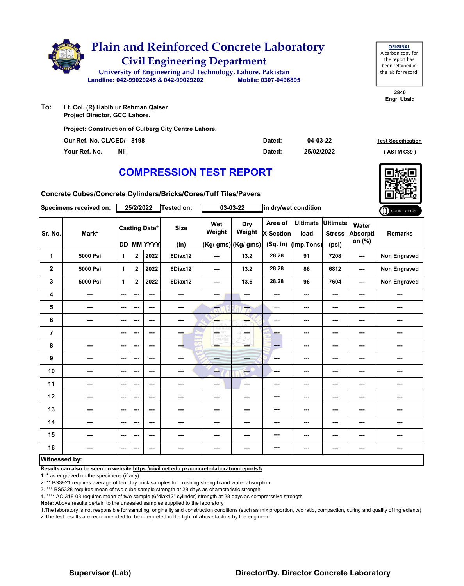

**Our Ref. No. CL/CED/ Dated: Test Specification 8198**

**04-03-22**

| Your Ref. No. | <b>Nil</b> | Dated: | 25/02/2022 | (ASTM C39) |
|---------------|------------|--------|------------|------------|
|               |            |        |            |            |

## **COMPRESSION TEST REPORT**

**Concrete Cubes/Concrete Cylinders/Bricks/Cores/Tuff Tiles/Pavers**

|                | Specimens received on: |                          | 25/2/2022    |                                           | Tested on:          |               | $03 - 03 - 22$                              | in dry/wet condition               |                                       |                                           |                             | ONLINE REPORT       |
|----------------|------------------------|--------------------------|--------------|-------------------------------------------|---------------------|---------------|---------------------------------------------|------------------------------------|---------------------------------------|-------------------------------------------|-----------------------------|---------------------|
| Sr. No.        | Mark*                  |                          |              | <b>Casting Date*</b><br><b>DD MM YYYY</b> | <b>Size</b><br>(in) | Wet<br>Weight | <b>Dry</b><br>Weight<br>(Kg/ gms) (Kg/ gms) | Area of<br>X-Section<br>$(Sq.$ in) | <b>Ultimate</b><br>load<br>(Imp.Tons) | <b>Ultimate</b><br><b>Stress</b><br>(psi) | Water<br>Absorpti<br>on (%) | <b>Remarks</b>      |
| 1              | 5000 Psi               | 1                        | $\mathbf{2}$ | 2022                                      | 6Diax12             | ---           | 13.2                                        | 28.28                              | 91                                    | 7208                                      | ---                         | <b>Non Engraved</b> |
| $\mathbf 2$    | 5000 Psi               | 1                        | $\mathbf 2$  | 2022                                      | 6Diax12             | $\sim$        | 13.2                                        | 28.28                              | 86                                    | 6812                                      | ---                         | Non Engraved        |
| 3              | 5000 Psi               | $\mathbf{1}$             | $\mathbf{2}$ | 2022                                      | 6Diax12             | ---           | 13.6                                        | 28.28                              | 96                                    | 7604                                      | ---                         | <b>Non Engraved</b> |
| 4              | ---                    | $\overline{\phantom{a}}$ | ---          | ---                                       | ---                 | ---           | $\overline{\phantom{a}}$                    | ---                                | ---                                   | ---                                       | ---                         | ---                 |
| 5              | ---                    | $\sim$                   | ---          | ---                                       | ---                 | ---           | ---                                         | ---                                | ---                                   | ---                                       | ---                         | ---                 |
| 6              | ---                    | $\sim$                   | ---          | ---                                       | ---                 | <b>Barnet</b> | ---                                         | ---                                | ---                                   | ---                                       | ---                         | ---                 |
| $\overline{7}$ |                        | $\overline{\phantom{a}}$ | ---          | ---                                       | ---                 | <b>OETHY</b>  | <b>Section</b>                              | ---                                | ---                                   | ---                                       | ---                         | ---                 |
| 8              | ---                    | $\overline{\phantom{a}}$ | ---          | ---                                       | --                  | ---           | ---                                         | ---                                | ---                                   | ---                                       | ---                         | ---                 |
| 9              | ---                    | $\sim$                   | ---          | ---                                       | $\frac{1}{2}$       | ---           | ---                                         | ---                                | ---                                   | ---                                       | ---                         | ---                 |
| 10             | ---                    | $\overline{\phantom{a}}$ | ---          | ---                                       | ---                 | --            | $\sim$                                      | ---                                | ---                                   | ---                                       | ---                         | ---                 |
| 11             | ---                    | $\overline{\phantom{a}}$ | ---          | ---                                       | ---                 | ---           | $\sim$                                      | ---                                | ---                                   | ---                                       | ---                         | ---                 |
| 12             | ---                    | $\sim$ $\sim$            | ---          | $--$                                      | ---                 | ---           | ---                                         | ---                                | ---                                   | $--$                                      | ---                         | ---                 |
| 13             | ---                    | $\overline{\phantom{a}}$ | ---          | ---                                       | ---                 | ---           | ---                                         | ---                                | ---                                   | ---                                       | ---                         | ---                 |
| 14             | ---                    | $-$                      | ---          | ---                                       | ---                 | ---           | ---                                         | ---                                | ---                                   | ---                                       | ---                         | ---                 |
| 15             | ---                    | $\overline{\phantom{a}}$ | ---          | ---                                       | ---                 | ---           | ---                                         | ---                                | ---                                   | ---                                       | ---                         | ---                 |
| 16             | ---                    | $\sim$                   | ---          | ---                                       | ---                 | ---           | ---                                         | ---                                | ---                                   | ---                                       | ---                         | ---                 |
| Witnossod hy   |                        |                          |              |                                           |                     |               |                                             |                                    |                                       |                                           |                             |                     |

#### **Witnessed by:**

**Results can also be seen on website https://civil.uet.edu.pk/concrete-laboratory-reports1/**

1. \* as engraved on the specimens (if any)

2. \*\* BS3921 requires average of ten clay brick samples for crushing strength and water absorption

3. \*\*\* BS5328 requires mean of two cube sample strength at 28 days as characteristic strength

4. \*\*\*\* ACI318-08 requires mean of two sample (6"diax12" cylinder) strength at 28 days as comprerssive strength

**Note:** Above results pertain to the unsealed samples supplied to the laboratory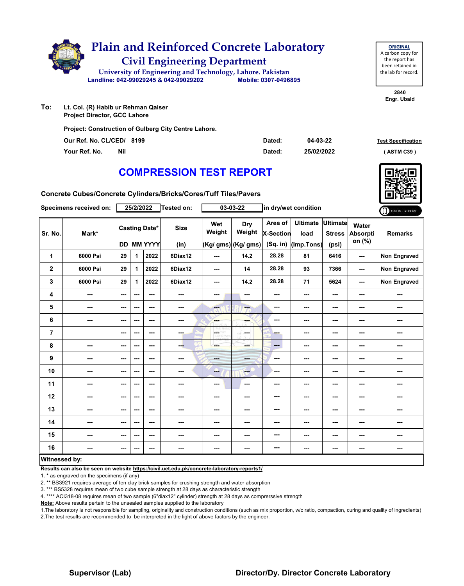

| <b>COMPRESSION TEST REPORT</b> |  |
|--------------------------------|--|

**Our Ref. No. CL/CED/ Dated: Test Specification 8199 Your Ref. No. Nil Dated: ( ASTM C39 )**

**04-03-22 25/02/2022**

**Concrete Cubes/Concrete Cylinders/Bricks/Cores/Tuff Tiles/Pavers**

|                      | Specimens received on: |      | 25/2/2022                                 |      | Tested on:          |                          | $03 - 03 - 22$                              | in dry/wet condition                      |                                       |                                    |                                    | ONLINE REPORT  |
|----------------------|------------------------|------|-------------------------------------------|------|---------------------|--------------------------|---------------------------------------------|-------------------------------------------|---------------------------------------|------------------------------------|------------------------------------|----------------|
| Sr. No.              | Mark*                  |      | <b>Casting Date*</b><br><b>DD MM YYYY</b> |      | <b>Size</b><br>(in) | Wet<br>Weight            | <b>Dry</b><br>Weight<br>(Kg/ gms) (Kg/ gms) | Area of<br><b>X-Section</b><br>$(Sq.$ in) | <b>Ultimate</b><br>load<br>(Imp.Tons) | Ultimate<br><b>Stress</b><br>(psi) | Water<br><b>Absorpti</b><br>on (%) | <b>Remarks</b> |
| 1                    | 6000 Psi               | 29   | $\mathbf{1}$                              | 2022 | 6Diax12             | $\sim$                   | 14.2                                        | 28.28                                     | 81                                    | 6416                               | $\sim$ $\sim$                      | Non Engraved   |
| $\mathbf 2$          | 6000 Psi               | 29   | 1                                         | 2022 | 6Diax12             | $\cdots$                 | 14                                          | 28.28                                     | 93                                    | 7366                               | $\sim$ $\sim$                      | Non Engraved   |
| 3                    | 6000 Psi               | 29   | 1                                         | 2022 | 6Diax12             | $\overline{\phantom{a}}$ | 14.2                                        | 28.28                                     | 71                                    | 5624                               | $\sim$ $\sim$                      | Non Engraved   |
| 4                    | ---                    | ---  | $\overline{\phantom{a}}$                  | ---  |                     | ---                      | ---                                         | ---                                       | ---                                   | ---                                | ---                                | ---            |
| 5                    | ---                    | ---  | $\overline{\phantom{a}}$                  | $--$ | ---                 | $\overline{\mathbf{a}}$  | ÷                                           | ---                                       | ---                                   | ---                                | ---                                | ---            |
| 6                    | ---                    | ---  | ---                                       | ---  | ---                 | <b>SHOP</b>              | ---                                         | ---                                       | ---                                   | ---                                | ---                                | ---            |
| $\overline{7}$       |                        | ---  | ---                                       | $--$ | ---                 | OETHY                    | ---                                         | ---                                       | ---                                   | ---                                | ---                                |                |
| 8                    | ---                    | ---  | $\sim$ $\sim$                             | ---  | ---                 |                          | ---                                         | ---                                       | ---                                   | ---                                | $\sim$                             | ---            |
| 9                    | ---                    | ---  | ---                                       | ---  | ---                 | <b>House</b>             | ---                                         | ---                                       | ---                                   | ---                                | ---                                | ---            |
| 10                   | ---                    | $--$ | ---                                       | $--$ | ---                 | ---                      | ---                                         | ---                                       | ---                                   | ---                                | ---                                | ---            |
| 11                   | ---                    | $--$ | $\overline{\phantom{a}}$                  | $--$ | ---                 | $\cdots$                 | $\overline{\phantom{a}}$                    | ---                                       | ---                                   | ---                                | ---                                |                |
| 12                   | ---                    | $--$ | ---                                       | ---  | ---                 | ---                      | ---                                         | ---                                       | ---                                   | ---                                | ---                                | ---            |
| 13                   | ---                    | ---  | ---                                       | ---  | ---                 | ---                      | ---                                         | ---                                       | ---                                   | ---                                | ---                                | ---            |
| 14                   | ---                    | $--$ | $\overline{\phantom{a}}$                  | $--$ | ---                 | ---                      | ---                                         | ---                                       | ---                                   | ---                                | ---                                | ---            |
| 15                   | ---                    | ---  | ---                                       | ---  | ---                 | ---                      | ---                                         | ---                                       | ---                                   | ---                                | ---                                | ---            |
| 16                   | ---                    | $--$ | ---                                       | $--$ | ---                 | ---                      | ---                                         | ---                                       | ---                                   | ---                                | $\sim$                             | ---            |
| <b>Witnessed by:</b> |                        |      |                                           |      |                     |                          |                                             |                                           |                                       |                                    |                                    |                |

#### **Witnessed by:**

**Results can also be seen on website https://civil.uet.edu.pk/concrete-laboratory-reports1/**

1. \* as engraved on the specimens (if any)

2. \*\* BS3921 requires average of ten clay brick samples for crushing strength and water absorption

3. \*\*\* BS5328 requires mean of two cube sample strength at 28 days as characteristic strength

4. \*\*\*\* ACI318-08 requires mean of two sample (6"diax12" cylinder) strength at 28 days as comprerssive strength

**Note:** Above results pertain to the unsealed samples supplied to the laboratory

1.The laboratory is not responsible for sampling, originality and construction conditions (such as mix proportion, w/c ratio, compaction, curing and quality of ingredients) 2.The test results are recommended to be interpreted in the light of above factors by the engineer.



**2840 Engr. Ubaid**

**ORIGINAL**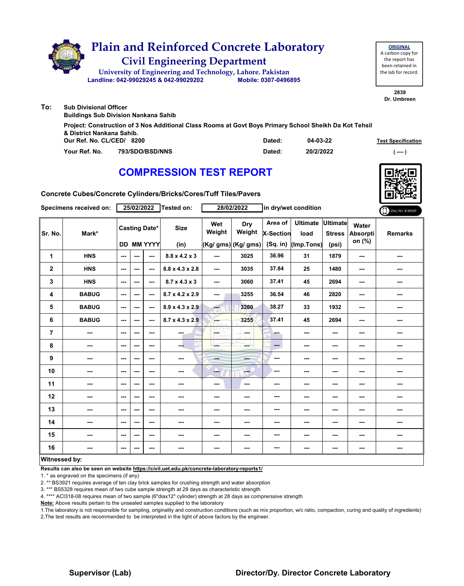|     | <b>Plain and Reinforced Concrete Laboratory</b><br><b>Civil Engineering Department</b><br>University of Engineering and Technology, Lahore. Pakistan<br>Landline: 042-99029245 & 042-99029202<br>Mobile: 0307-0496895 | <b>ORIGINAL</b><br>A carbon copy fo<br>the report has<br>been retained in<br>the lab for record |
|-----|-----------------------------------------------------------------------------------------------------------------------------------------------------------------------------------------------------------------------|-------------------------------------------------------------------------------------------------|
|     |                                                                                                                                                                                                                       | 2839<br>Dr. Umbreen                                                                             |
| To: | <b>Sub Divisional Officer</b><br><b>Buildings Sub Division Nankana Sahib</b>                                                                                                                                          |                                                                                                 |
|     | Project: Construction of 3 Nos Additional Class Rooms at Govt Boys Primary School Sheikh Da Kot Tehsil<br>& District Nankana Sahib.                                                                                   |                                                                                                 |

| Our Ref. No. CL/CED/ | 8200            | Dated: | 04-03-22  | <b>Test Specification</b> |
|----------------------|-----------------|--------|-----------|---------------------------|
| Your Ref. No.        | 793/SDO/BSD/NNS | Dated: | 20/2/2022 | ----                      |

# **COMPRESSION TEST REPORT**

**Concrete Cubes/Concrete Cylinders/Bricks/Cores/Tuff Tiles/Pavers**

| Specimens received on: |              | 25/02/2022 |      |                                           | Tested on:                  | 28/02/2022               |                                       | in dry/wet condition               |                                         |                        |                             | ONLINE REPORT  |
|------------------------|--------------|------------|------|-------------------------------------------|-----------------------------|--------------------------|---------------------------------------|------------------------------------|-----------------------------------------|------------------------|-----------------------------|----------------|
| Sr. No.                | Mark*        |            |      | <b>Casting Date*</b><br><b>DD MM YYYY</b> | <b>Size</b><br>(in)         | Wet<br>Weight            | Dry<br>Weight<br>$(Kg/gms)$ (Kg/ gms) | Area of<br>X-Section<br>$(Sq.$ in) | Ultimate Ultimate<br>load<br>(Imp.Tons) | <b>Stress</b><br>(psi) | Water<br>Absorpti<br>on (%) | <b>Remarks</b> |
| 1                      | <b>HNS</b>   | ---        |      | ---                                       | $8.8 \times 4.2 \times 3$   | $\overline{a}$           | 3025                                  | 36.96                              | 31                                      | 1879                   | $\sim$ $\sim$               | ---            |
| $\overline{2}$         | <b>HNS</b>   | ---        | ---  | ---                                       | $8.8 \times 4.3 \times 2.8$ | $\sim$ $\sim$            | 3035                                  | 37.84                              | 25                                      | 1480                   | ---                         | ---            |
| 3                      | <b>HNS</b>   | ---        | ---  | ---                                       | $8.7 \times 4.3 \times 3$   | $\overline{\phantom{a}}$ | 3060                                  | 37.41                              | 45                                      | 2694                   | $\sim$                      | ---            |
| 4                      | <b>BABUG</b> | ---        | $--$ | $\overline{\phantom{a}}$                  | 8.7 x 4.2 x 2.9             | $\sim$ $\sim$            | 3255                                  | 36.54                              | 46                                      | 2820                   | $\overline{\phantom{a}}$    | ---            |
| 5                      | <b>BABUG</b> | ---        | ---  | ---                                       | $8.9 \times 4.3 \times 2.9$ | m.                       | 3260                                  | 38.27                              | 33                                      | 1932                   | $\sim$                      | ---            |
| 6                      | <b>BABUG</b> | ---        | ---  | ---                                       | $8.7 \times 4.3 \times 2.9$ | <b>Albert</b>            | 3255                                  | 37.41                              | 45                                      | 2694                   | ---                         | ---            |
| 7                      | ---          | ---        | ---  | ---                                       | ---                         | CETHY<br>LORD WH         | an mar                                | -                                  | ---                                     | ---                    | ---                         | ---            |
| 8                      | ---          | ---        | ---  | ---                                       | ---                         | ---                      | ---                                   | $\qquad \qquad -$                  | ---                                     | ---                    | ---                         | ---            |
| 9                      | ---          | $--$       | ---  | ---                                       | ---                         | ---                      | ---                                   | $\overline{\phantom{a}}$           | ---                                     | ---                    | ---                         | ---            |
| 10                     | ---          | $- - -$    | ---  | ---                                       |                             | --                       | ---                                   | ---                                | ---                                     | ---                    | ---                         | ---            |
| 11                     | ---          | ---        | $--$ | ---                                       | ---                         | $\qquad \qquad \cdots$   | $\overline{\phantom{a}}$              | ---                                | ---                                     | ---                    | $\sim$                      | ---            |
| 12                     | ---          | ---        | ---  | ---                                       | ---                         | ---                      | ---                                   | ---                                | ---                                     | ---                    | ---                         | ---            |
| 13                     | ---          | ---        | ---  | ---                                       | ---                         | ---                      | ---                                   | ---                                | ---                                     | ---                    | ---                         | ---            |
| 14                     | ---          | ---        | ---  | ---                                       | ---                         | ---                      | ---                                   | ---                                | ---                                     | ---                    | ---                         | ---            |
| 15                     | ---          | ---        | ---  | $\overline{\phantom{a}}$                  | ---                         | ---                      | ---                                   | ---                                | ---                                     | ---                    | ---                         |                |
| 16                     |              | $--$       |      | ---                                       | ---                         | ---                      | ---                                   | ---                                | ---                                     | ---                    | ---                         | ---            |
| <b>Witnessed by:</b>   |              |            |      |                                           |                             |                          |                                       |                                    |                                         |                        |                             |                |

#### **Witnessed by:**

**Results can also be seen on website https://civil.uet.edu.pk/concrete-laboratory-reports1/**

1. \* as engraved on the specimens (if any)

2. \*\* BS3921 requires average of ten clay brick samples for crushing strength and water absorption

3. \*\*\* BS5328 requires mean of two cube sample strength at 28 days as characteristic strength

4. \*\*\*\* ACI318-08 requires mean of two sample (6"diax12" cylinder) strength at 28 days as comprerssive strength

**Note:** Above results pertain to the unsealed samples supplied to the laboratory

1.The laboratory is not responsible for sampling, originality and construction conditions (such as mix proportion, w/c ratio, compaction, curing and quality of ingredients) 2.The test results are recommended to be interpreted in the light of above factors by the engineer.



**ORIGINAL** y for has ed in cord.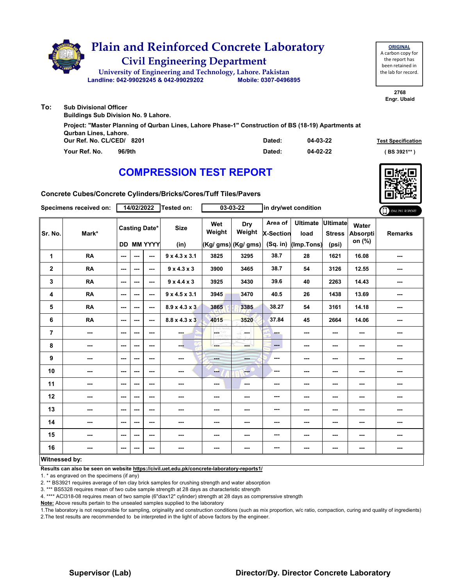|     | <b>Plain and Reinforced Concrete Laboratory</b><br><b>Civil Engineering Department</b><br>University of Engineering and Technology, Lahore. Pakistan<br>Mobile: 0307-0496895<br>Landline: 042-99029245 & 042-99029202 | <b>ORIGINAL</b><br>A carbon copy for<br>the report has<br>been retained in<br>the lab for record. |
|-----|-----------------------------------------------------------------------------------------------------------------------------------------------------------------------------------------------------------------------|---------------------------------------------------------------------------------------------------|
|     |                                                                                                                                                                                                                       | 2768<br>Engr. Ubaid                                                                               |
| To: | <b>Sub Divisional Officer</b><br><b>Buildings Sub Division No. 9 Lahore.</b>                                                                                                                                          |                                                                                                   |
|     | Project: "Master Planning of Qurban Lines, Lahore Phase-1" Construction of BS (18-19) Apartments at                                                                                                                   |                                                                                                   |

| Qurban Lines, Lahore.     |        |          |                           |  |  |
|---------------------------|--------|----------|---------------------------|--|--|
| Our Ref. No. CL/CED/ 8201 | Dated: | 04-03-22 | <b>Test Specification</b> |  |  |
| 96/9th<br>Your Ref. No.   | Dated: | 04-02-22 | (BS 3921**                |  |  |

# **COMPRESSION TEST REPORT**

**Concrete Cubes/Concrete Cylinders/Bricks/Cores/Tuff Tiles/Pavers**

| Specimens received on: |                          | 14/02/2022    |     |                                           | Tested on:                | $03 - 03 - 22$  |                                       | in dry/wet condition                    |                                       |                                           |                                    | ONLINE REPORT  |
|------------------------|--------------------------|---------------|-----|-------------------------------------------|---------------------------|-----------------|---------------------------------------|-----------------------------------------|---------------------------------------|-------------------------------------------|------------------------------------|----------------|
| Sr. No.                | Mark*                    |               |     | <b>Casting Date*</b><br><b>DD MM YYYY</b> | <b>Size</b><br>(in)       | Wet<br>Weight   | Dry<br>Weight<br>$(Kg/gms)$ (Kg/ gms) | Area of<br><b>X-Section</b><br>(Sq. in) | <b>Ultimate</b><br>load<br>(Imp.Tons) | <b>Ultimate</b><br><b>Stress</b><br>(psi) | Water<br><b>Absorpti</b><br>on (%) | <b>Remarks</b> |
| 1                      | <b>RA</b>                | ---           | --- | $\overline{a}$                            | $9 \times 4.3 \times 3.1$ | 3825            | 3295                                  | 38.7                                    | 28                                    | 1621                                      | 16.08                              | ---            |
| $\mathbf 2$            | <b>RA</b>                | $\sim$ $\sim$ | --- | $\sim$                                    | $9 \times 4.3 \times 3$   | 3900            | 3465                                  | 38.7                                    | 54                                    | 3126                                      | 12.55                              | ---            |
| 3                      | <b>RA</b>                | ---           | --- | ---                                       | $9 \times 4.4 \times 3$   | 3925            | 3430                                  | 39.6                                    | 40                                    | 2263                                      | 14.43                              | ---            |
| 4                      | <b>RA</b>                | $\sim$ $\sim$ | --- | ---                                       | $9 \times 4.5 \times 3.1$ | 3945            | 3470                                  | 40.5                                    | 26                                    | 1438                                      | 13.69                              | ---            |
| 5                      | <b>RA</b>                | ---           | --- | ---                                       | $8.9 \times 4.3 \times 3$ | 3865            | 3385                                  | 38.27                                   | 54                                    | 3161                                      | 14.18                              | ---            |
| 6                      | <b>RA</b>                | $--$          | --- | ---                                       | $8.8 \times 4.3 \times 3$ | 4015            | 3520                                  | 37.84                                   | 45                                    | 2664                                      | 14.06                              | ---            |
| $\overline{7}$         | ---                      | ---           | --- | $--$                                      | ---                       | CETHY<br>LORD V | ---                                   | ---                                     | ---                                   | ---                                       | ---                                |                |
| 8                      | ---                      | $- - -$       | --- | ---                                       | --                        | ---             | ---                                   | $\qquad \qquad -$                       | ---                                   | $--$                                      | ---                                | ---            |
| 9                      | ---                      | $--$          | --- | ---                                       | $\cdots$                  | <b>Basic</b>    | ---                                   | ---                                     | ---                                   | ---                                       | ---                                | ---            |
| 10                     | ---                      | $--$          | --- | $--$                                      | ---                       | --              | $\frac{1}{2}$                         | ---                                     | ---                                   | ---                                       | ---                                | ---            |
| 11                     | ---                      | ---           | --- | ---                                       | ---                       | ---             | ---                                   | ---                                     | ---                                   | $--$                                      | ---                                | ---            |
| 12                     | $\overline{\phantom{a}}$ | $--$          | --- | ---                                       | $\sim$                    | ---             | ---                                   | ---                                     | ---                                   | ---                                       | ---                                | ---            |
| 13                     | ---                      | ---           | --- | ---                                       | ---                       | ---             | ---                                   | ---                                     | ---                                   | ---                                       | ---                                | ---            |
| 14                     | ---                      | ---           | --- | ---                                       | ---                       | ---             | ---                                   | ---                                     | ---                                   | ---                                       | ---                                | ---            |
| 15                     | ---                      | ---           | --- | ---                                       | ---                       | ---             | ---                                   | ---                                     | ---                                   | ---                                       | ---                                | ---            |
| 16                     | ---                      | ---           | --- | $\overline{\phantom{a}}$                  | $\sim$                    | ---             | ---                                   | ---                                     | ---                                   | ---                                       | ---                                | ---            |
| <b>Witnessed by:</b>   |                          |               |     |                                           |                           |                 |                                       |                                         |                                       |                                           |                                    |                |

#### **Witnessed by:**

**Results can also be seen on website https://civil.uet.edu.pk/concrete-laboratory-reports1/**

1. \* as engraved on the specimens (if any)

2. \*\* BS3921 requires average of ten clay brick samples for crushing strength and water absorption

3. \*\*\* BS5328 requires mean of two cube sample strength at 28 days as characteristic strength

4. \*\*\*\* ACI318-08 requires mean of two sample (6"diax12" cylinder) strength at 28 days as comprerssive strength

**Note:** Above results pertain to the unsealed samples supplied to the laboratory